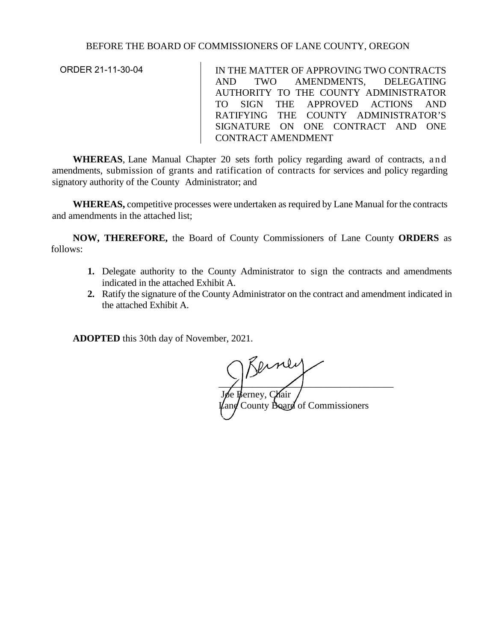## BEFORE THE BOARD OF COMMISSIONERS OF LANE COUNTY, OREGON

ORDER 21-11-30-04

IN THE MATTER OF APPROVING TWO CONTRACTS AND TWO AMENDMENTS, DELEGATING AUTHORITY TO THE COUNTY ADMINISTRATOR TO SIGN THE APPROVED ACTIONS AND RATIFYING THE COUNTY ADMINISTRATOR'S SIGNATURE ON ONE CONTRACT AND ONE CONTRACT AMENDMENT

**WHEREAS**, Lane Manual Chapter 20 sets forth policy regarding award of contracts, and amendments, submission of grants and ratification of contracts for services and policy regarding signatory authority of the County Administrator; and

**WHEREAS,** competitive processes were undertaken as required by Lane Manual for the contracts and amendments in the attached list;

**NOW, THEREFORE,** the Board of County Commissioners of Lane County **ORDERS** as follows:

- **1.** Delegate authority to the County Administrator to sign the contracts and amendments indicated in the attached Exhibit A.
- **2.** Ratify the signature of the County Administrator on the contract and amendment indicated in the attached Exhibit A.

**ADOPTED** this 30th day of November, 2021.

 $\sqrt{2}$ 

Joe Berney, Chair  $\mu$ ane County Board of Commissioners